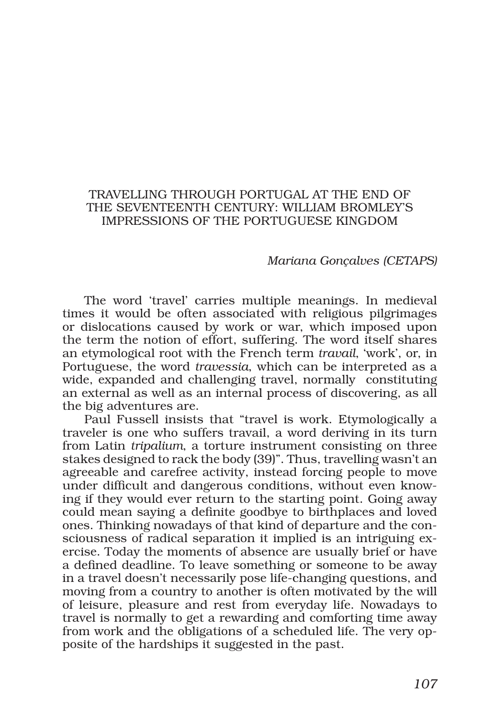## TRAVELLING THROUGH PORTUGAL AT THE END OF THE SEVENTEENTH CENTURY: WILLIAM BROMLEY'S IMPRESSIONS OF THE PORTUGUESE KINGDOM

## *Mariana Gonçalves (CETAPS)*

The word 'travel' carries multiple meanings. In medieval times it would be often associated with religious pilgrimages or dislocations caused by work or war, which imposed upon the term the notion of effort, suffering. The word itself shares an etymological root with the French term *travail*, 'work', or, in Portuguese, the word *travessia*, which can be interpreted as a wide, expanded and challenging travel, normally constituting an external as well as an internal process of discovering, as all the big adventures are.

Paul Fussell insists that "travel is work. Etymologically a traveler is one who suffers travail, a word deriving in its turn from Latin *tripalium*, a torture instrument consisting on three stakes designed to rack the body (39)". Thus, travelling wasn't an agreeable and carefree activity, instead forcing people to move under difficult and dangerous conditions, without even knowing if they would ever return to the starting point. Going away could mean saying a definite goodbye to birthplaces and loved ones. Thinking nowadays of that kind of departure and the consciousness of radical separation it implied is an intriguing exercise. Today the moments of absence are usually brief or have a defined deadline. To leave something or someone to be away in a travel doesn't necessarily pose life-changing questions, and moving from a country to another is often motivated by the will of leisure, pleasure and rest from everyday life. Nowadays to travel is normally to get a rewarding and comforting time away from work and the obligations of a scheduled life. The very opposite of the hardships it suggested in the past.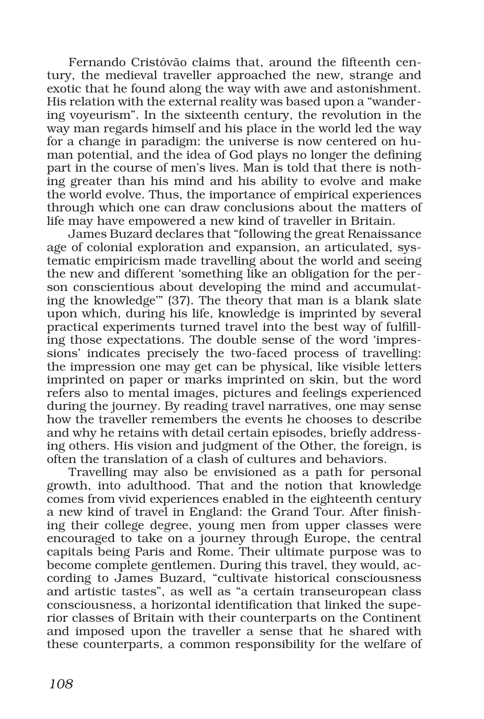Fernando Cristóvão claims that, around the fifteenth century, the medieval traveller approached the new, strange and exotic that he found along the way with awe and astonishment. His relation with the external reality was based upon a "wandering voyeurism". In the sixteenth century, the revolution in the way man regards himself and his place in the world led the way for a change in paradigm: the universe is now centered on human potential, and the idea of God plays no longer the defining part in the course of men's lives. Man is told that there is nothing greater than his mind and his ability to evolve and make the world evolve. Thus, the importance of empirical experiences through which one can draw conclusions about the matters of life may have empowered a new kind of traveller in Britain.

James Buzard declares that "following the great Renaissance age of colonial exploration and expansion, an articulated, systematic empiricism made travelling about the world and seeing the new and different 'something like an obligation for the person conscientious about developing the mind and accumulating the knowledge'" (37). The theory that man is a blank slate upon which, during his life, knowledge is imprinted by several practical experiments turned travel into the best way of fulfilling those expectations. The double sense of the word 'impressions' indicates precisely the two-faced process of travelling: the impression one may get can be physical, like visible letters imprinted on paper or marks imprinted on skin, but the word refers also to mental images, pictures and feelings experienced during the journey. By reading travel narratives, one may sense how the traveller remembers the events he chooses to describe and why he retains with detail certain episodes, briefly addressing others. His vision and judgment of the Other, the foreign, is often the translation of a clash of cultures and behaviors.

Travelling may also be envisioned as a path for personal growth, into adulthood. That and the notion that knowledge comes from vivid experiences enabled in the eighteenth century a new kind of travel in England: the Grand Tour. After finishing their college degree, young men from upper classes were encouraged to take on a journey through Europe, the central capitals being Paris and Rome. Their ultimate purpose was to become complete gentlemen. During this travel, they would, according to James Buzard, "cultivate historical consciousness and artistic tastes", as well as "a certain transeuropean class consciousness, a horizontal identification that linked the superior classes of Britain with their counterparts on the Continent and imposed upon the traveller a sense that he shared with these counterparts, a common responsibility for the welfare of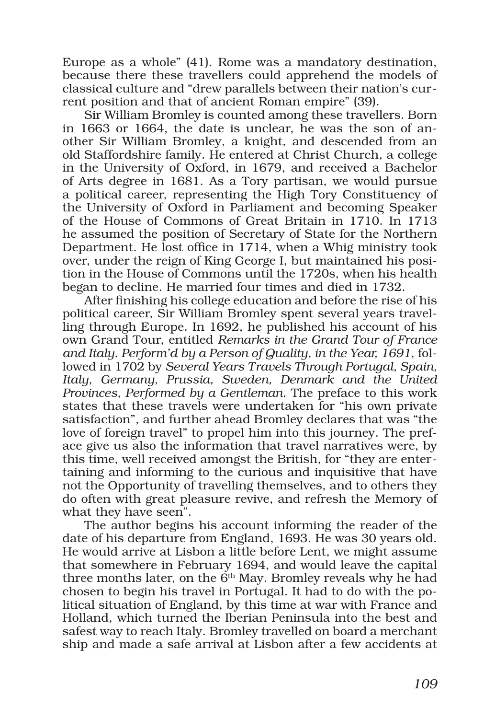Europe as a whole" (41). Rome was a mandatory destination, because there these travellers could apprehend the models of classical culture and "drew parallels between their nation's current position and that of ancient Roman empire" (39).

Sir William Bromley is counted among these travellers. Born in 1663 or 1664, the date is unclear, he was the son of another Sir William Bromley, a knight, and descended from an old Staffordshire family. He entered at Christ Church, a college in the University of Oxford, in 1679, and received a Bachelor of Arts degree in 1681. As a Tory partisan, we would pursue a political career, representing the High Tory Constituency of the University of Oxford in Parliament and becoming Speaker of the House of Commons of Great Britain in 1710. In 1713 he assumed the position of Secretary of State for the Northern Department. He lost office in 1714, when a Whig ministry took over, under the reign of King George I, but maintained his position in the House of Commons until the 1720s, when his health began to decline. He married four times and died in 1732.

After finishing his college education and before the rise of his political career, Sir William Bromley spent several years travelling through Europe. In 1692, he published his account of his own Grand Tour, entitled *Remarks in the Grand Tour of France and Italy. Perform'd by a Person of Quality, in the Year, 1691*, followed in 1702 by *Several Years Travels Through Portugal, Spain, Italy, Germany, Prussia, Sweden, Denmark and the United Provinces, Performed by a Gentleman*. The preface to this work states that these travels were undertaken for "his own private satisfaction", and further ahead Bromley declares that was "the love of foreign travel" to propel him into this journey. The preface give us also the information that travel narratives were, by this time, well received amongst the British, for "they are entertaining and informing to the curious and inquisitive that have not the Opportunity of travelling themselves, and to others they do often with great pleasure revive, and refresh the Memory of what they have seen".

The author begins his account informing the reader of the date of his departure from England, 1693. He was 30 years old. He would arrive at Lisbon a little before Lent, we might assume that somewhere in February 1694, and would leave the capital three months later, on the  $6<sup>th</sup>$  May. Bromley reveals why he had chosen to begin his travel in Portugal. It had to do with the political situation of England, by this time at war with France and Holland, which turned the Iberian Peninsula into the best and safest way to reach Italy. Bromley travelled on board a merchant ship and made a safe arrival at Lisbon after a few accidents at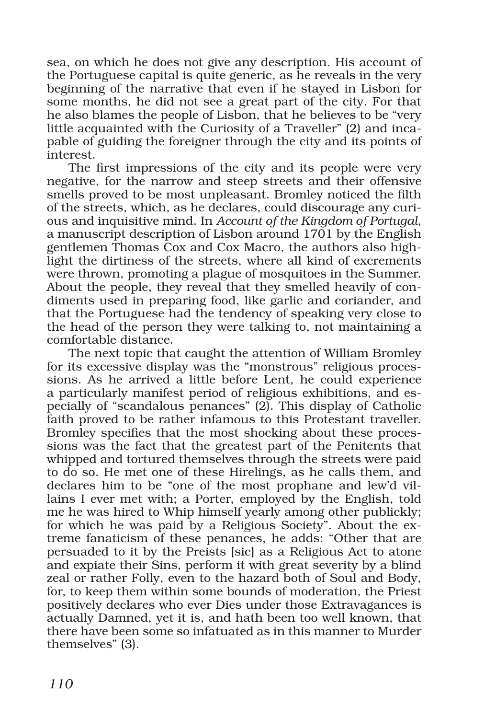sea, on which he does not give any description. His account of the Portuguese capital is quite generic, as he reveals in the very beginning of the narrative that even if he stayed in Lisbon for some months, he did not see a great part of the city. For that he also blames the people of Lisbon, that he believes to be "very little acquainted with the Curiosity of a Traveller" (2) and incapable of guiding the foreigner through the city and its points of interest.

The first impressions of the city and its people were very negative, for the narrow and steep streets and their offensive smells proved to be most unpleasant. Bromley noticed the filth of the streets, which, as he declares, could discourage any curious and inquisitive mind. In *Account of the Kingdom of Portugal*, a manuscript description of Lisbon around 1701 by the English gentlemen Thomas Cox and Cox Macro, the authors also highlight the dirtiness of the streets, where all kind of excrements were thrown, promoting a plague of mosquitoes in the Summer. About the people, they reveal that they smelled heavily of condiments used in preparing food, like garlic and coriander, and that the Portuguese had the tendency of speaking very close to the head of the person they were talking to, not maintaining a comfortable distance.

The next topic that caught the attention of William Bromley for its excessive display was the "monstrous" religious processions. As he arrived a little before Lent, he could experience a particularly manifest period of religious exhibitions, and especially of "scandalous penances" (2). This display of Catholic faith proved to be rather infamous to this Protestant traveller. Bromley specifies that the most shocking about these processions was the fact that the greatest part of the Penitents that whipped and tortured themselves through the streets were paid to do so. He met one of these Hirelings, as he calls them, and declares him to be "one of the most prophane and lew'd villains I ever met with; a Porter, employed by the English, told me he was hired to Whip himself yearly among other publickly; for which he was paid by a Religious Society". About the extreme fanaticism of these penances, he adds: "Other that are persuaded to it by the Preists [sic] as a Religious Act to atone and expiate their Sins, perform it with great severity by a blind zeal or rather Folly, even to the hazard both of Soul and Body, for, to keep them within some bounds of moderation, the Priest positively declares who ever Dies under those Extravagances is actually Damned, yet it is, and hath been too well known, that there have been some so infatuated as in this manner to Murder themselves" (3).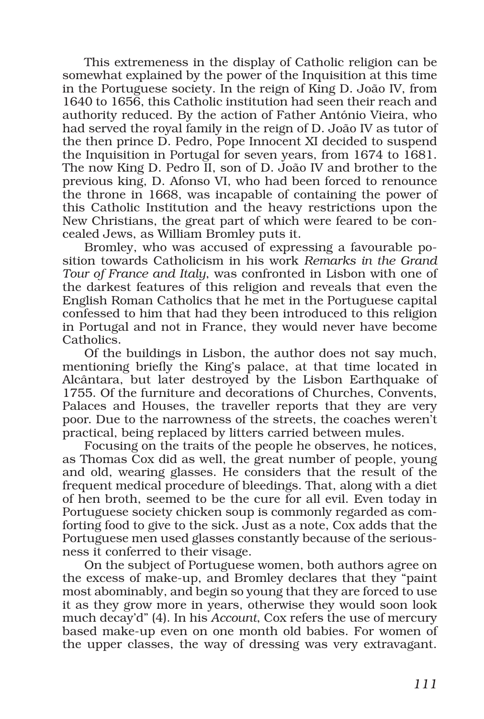This extremeness in the display of Catholic religion can be somewhat explained by the power of the Inquisition at this time in the Portuguese society. In the reign of King D. João IV, from 1640 to 1656, this Catholic institution had seen their reach and authority reduced. By the action of Father António Vieira, who had served the royal family in the reign of D. João IV as tutor of the then prince D. Pedro, Pope Innocent XI decided to suspend the Inquisition in Portugal for seven years, from 1674 to 1681. The now King D. Pedro II, son of D. João IV and brother to the previous king, D. Afonso VI, who had been forced to renounce the throne in 1668, was incapable of containing the power of this Catholic Institution and the heavy restrictions upon the New Christians, the great part of which were feared to be concealed Jews, as William Bromley puts it.

Bromley, who was accused of expressing a favourable position towards Catholicism in his work *Remarks in the Grand Tour of France and Italy*, was confronted in Lisbon with one of the darkest features of this religion and reveals that even the English Roman Catholics that he met in the Portuguese capital confessed to him that had they been introduced to this religion in Portugal and not in France, they would never have become Catholics.

Of the buildings in Lisbon, the author does not say much, mentioning briefly the King's palace, at that time located in Alcântara, but later destroyed by the Lisbon Earthquake of 1755. Of the furniture and decorations of Churches, Convents, Palaces and Houses, the traveller reports that they are very poor. Due to the narrowness of the streets, the coaches weren't practical, being replaced by litters carried between mules.

Focusing on the traits of the people he observes, he notices, as Thomas Cox did as well, the great number of people, young and old, wearing glasses. He considers that the result of the frequent medical procedure of bleedings. That, along with a diet of hen broth, seemed to be the cure for all evil. Even today in Portuguese society chicken soup is commonly regarded as comforting food to give to the sick. Just as a note, Cox adds that the Portuguese men used glasses constantly because of the seriousness it conferred to their visage.

On the subject of Portuguese women, both authors agree on the excess of make-up, and Bromley declares that they "paint most abominably, and begin so young that they are forced to use it as they grow more in years, otherwise they would soon look much decay'd" (4). In his *Account*, Cox refers the use of mercury based make-up even on one month old babies. For women of the upper classes, the way of dressing was very extravagant.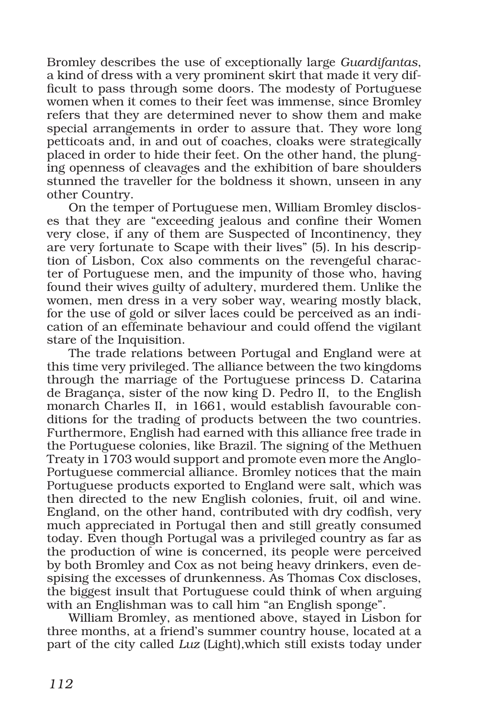Bromley describes the use of exceptionally large *Guardifantas*, a kind of dress with a very prominent skirt that made it very difficult to pass through some doors. The modesty of Portuguese women when it comes to their feet was immense, since Bromley refers that they are determined never to show them and make special arrangements in order to assure that. They wore long petticoats and, in and out of coaches, cloaks were strategically placed in order to hide their feet. On the other hand, the plunging openness of cleavages and the exhibition of bare shoulders stunned the traveller for the boldness it shown, unseen in any other Country.

On the temper of Portuguese men, William Bromley discloses that they are "exceeding jealous and confine their Women very close, if any of them are Suspected of Incontinency, they are very fortunate to Scape with their lives" (5). In his description of Lisbon, Cox also comments on the revengeful character of Portuguese men, and the impunity of those who, having found their wives guilty of adultery, murdered them. Unlike the women, men dress in a very sober way, wearing mostly black, for the use of gold or silver laces could be perceived as an indication of an effeminate behaviour and could offend the vigilant stare of the Inquisition.

The trade relations between Portugal and England were at this time very privileged. The alliance between the two kingdoms through the marriage of the Portuguese princess D. Catarina de Bragança, sister of the now king D. Pedro II, to the English monarch Charles II, in 1661, would establish favourable conditions for the trading of products between the two countries. Furthermore, English had earned with this alliance free trade in the Portuguese colonies, like Brazil. The signing of the Methuen Treaty in 1703 would support and promote even more the Anglo-Portuguese commercial alliance. Bromley notices that the main Portuguese products exported to England were salt, which was then directed to the new English colonies, fruit, oil and wine. England, on the other hand, contributed with dry codfish, very much appreciated in Portugal then and still greatly consumed today. Even though Portugal was a privileged country as far as the production of wine is concerned, its people were perceived by both Bromley and Cox as not being heavy drinkers, even despising the excesses of drunkenness. As Thomas Cox discloses, the biggest insult that Portuguese could think of when arguing with an Englishman was to call him "an English sponge".

William Bromley, as mentioned above, stayed in Lisbon for three months, at a friend's summer country house, located at a part of the city called *Luz* (Light),which still exists today under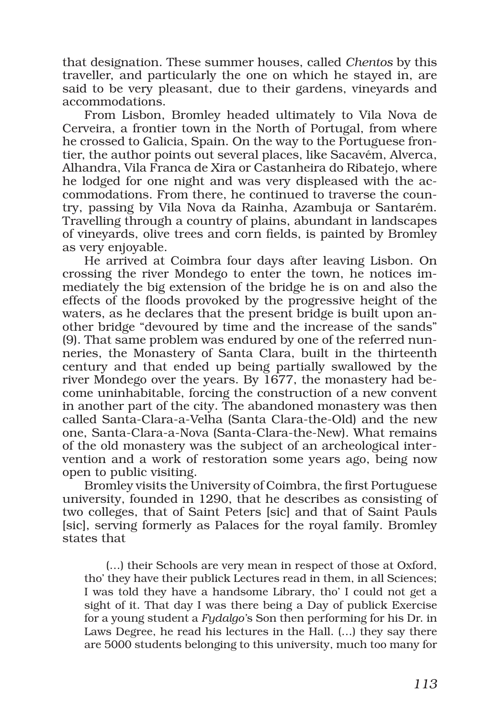that designation. These summer houses, called *Chentos* by this traveller, and particularly the one on which he stayed in, are said to be very pleasant, due to their gardens, vineyards and accommodations.

From Lisbon, Bromley headed ultimately to Vila Nova de Cerveira, a frontier town in the North of Portugal, from where he crossed to Galicia, Spain. On the way to the Portuguese frontier, the author points out several places, like Sacavém, Alverca, Alhandra, Vila Franca de Xira or Castanheira do Ribatejo, where he lodged for one night and was very displeased with the accommodations. From there, he continued to traverse the country, passing by Vila Nova da Rainha, Azambuja or Santarém. Travelling through a country of plains, abundant in landscapes of vineyards, olive trees and corn fields, is painted by Bromley as very enjoyable.

He arrived at Coimbra four days after leaving Lisbon. On crossing the river Mondego to enter the town, he notices immediately the big extension of the bridge he is on and also the effects of the floods provoked by the progressive height of the waters, as he declares that the present bridge is built upon another bridge "devoured by time and the increase of the sands" (9). That same problem was endured by one of the referred nunneries, the Monastery of Santa Clara, built in the thirteenth century and that ended up being partially swallowed by the river Mondego over the years. By 1677, the monastery had become uninhabitable, forcing the construction of a new convent in another part of the city. The abandoned monastery was then called Santa-Clara-a-Velha (Santa Clara-the-Old) and the new one, Santa-Clara-a-Nova (Santa-Clara-the-New). What remains of the old monastery was the subject of an archeological intervention and a work of restoration some years ago, being now open to public visiting.

Bromley visits the University of Coimbra, the first Portuguese university, founded in 1290, that he describes as consisting of two colleges, that of Saint Peters [sic] and that of Saint Pauls [sic], serving formerly as Palaces for the royal family. Bromley states that

(…) their Schools are very mean in respect of those at Oxford, tho' they have their publick Lectures read in them, in all Sciences; I was told they have a handsome Library, tho' I could not get a sight of it. That day I was there being a Day of publick Exercise for a young student a *Fydalgo'*s Son then performing for his Dr. in Laws Degree, he read his lectures in the Hall. (…) they say there are 5000 students belonging to this university, much too many for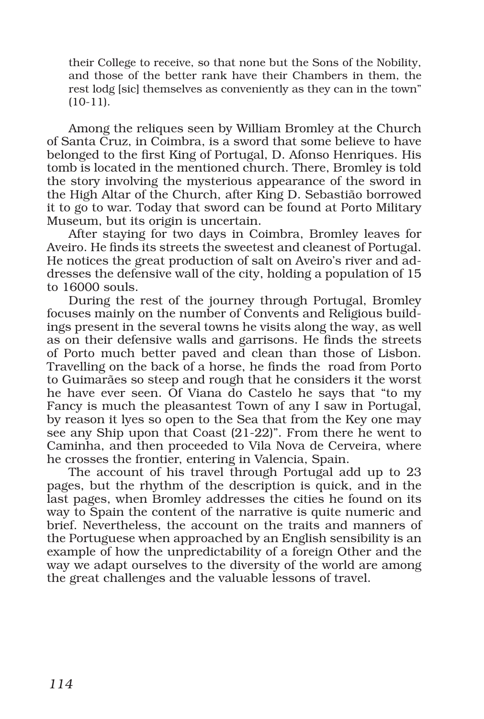their College to receive, so that none but the Sons of the Nobility, and those of the better rank have their Chambers in them, the rest lodg [sic] themselves as conveniently as they can in the town" (10-11).

Among the reliques seen by William Bromley at the Church of Santa Cruz, in Coimbra, is a sword that some believe to have belonged to the first King of Portugal, D. Afonso Henriques. His tomb is located in the mentioned church. There, Bromley is told the story involving the mysterious appearance of the sword in the High Altar of the Church, after King D. Sebastião borrowed it to go to war. Today that sword can be found at Porto Military Museum, but its origin is uncertain.

After staying for two days in Coimbra, Bromley leaves for Aveiro. He finds its streets the sweetest and cleanest of Portugal. He notices the great production of salt on Aveiro's river and addresses the defensive wall of the city, holding a population of 15 to 16000 souls.

During the rest of the journey through Portugal, Bromley focuses mainly on the number of Convents and Religious buildings present in the several towns he visits along the way, as well as on their defensive walls and garrisons. He finds the streets of Porto much better paved and clean than those of Lisbon. Travelling on the back of a horse, he finds the road from Porto to Guimarães so steep and rough that he considers it the worst he have ever seen. Of Viana do Castelo he says that "to my Fancy is much the pleasantest Town of any I saw in Portugal, by reason it lyes so open to the Sea that from the Key one may see any Ship upon that Coast (21-22)". From there he went to Caminha, and then proceeded to Vila Nova de Cerveira, where he crosses the frontier, entering in Valencia, Spain.

The account of his travel through Portugal add up to 23 pages, but the rhythm of the description is quick, and in the last pages, when Bromley addresses the cities he found on its way to Spain the content of the narrative is quite numeric and brief. Nevertheless, the account on the traits and manners of the Portuguese when approached by an English sensibility is an example of how the unpredictability of a foreign Other and the way we adapt ourselves to the diversity of the world are among the great challenges and the valuable lessons of travel.